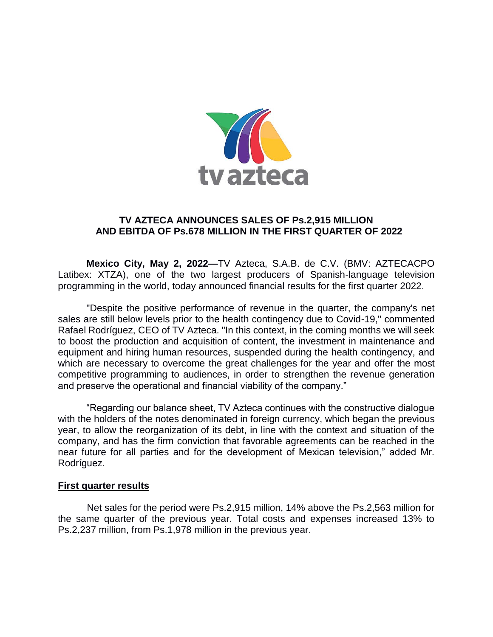

# **TV AZTECA ANNOUNCES SALES OF Ps.2,915 MILLION AND EBITDA OF Ps.678 MILLION IN THE FIRST QUARTER OF 2022**

**Mexico City, May 2, 2022—**TV Azteca, S.A.B. de C.V. (BMV: AZTECACPO Latibex: XTZA), one of the two largest producers of Spanish-language television programming in the world, today announced financial results for the first quarter 2022.

"Despite the positive performance of revenue in the quarter, the company's net sales are still below levels prior to the health contingency due to Covid-19," commented Rafael Rodríguez, CEO of TV Azteca. "In this context, in the coming months we will seek to boost the production and acquisition of content, the investment in maintenance and equipment and hiring human resources, suspended during the health contingency, and which are necessary to overcome the great challenges for the year and offer the most competitive programming to audiences, in order to strengthen the revenue generation and preserve the operational and financial viability of the company."

"Regarding our balance sheet, TV Azteca continues with the constructive dialogue with the holders of the notes denominated in foreign currency, which began the previous year, to allow the reorganization of its debt, in line with the context and situation of the company, and has the firm conviction that favorable agreements can be reached in the near future for all parties and for the development of Mexican television," added Mr. Rodríguez.

### **First quarter results**

Net sales for the period were Ps.2,915 million, 14% above the Ps.2,563 million for the same quarter of the previous year. Total costs and expenses increased 13% to Ps.2,237 million, from Ps.1,978 million in the previous year.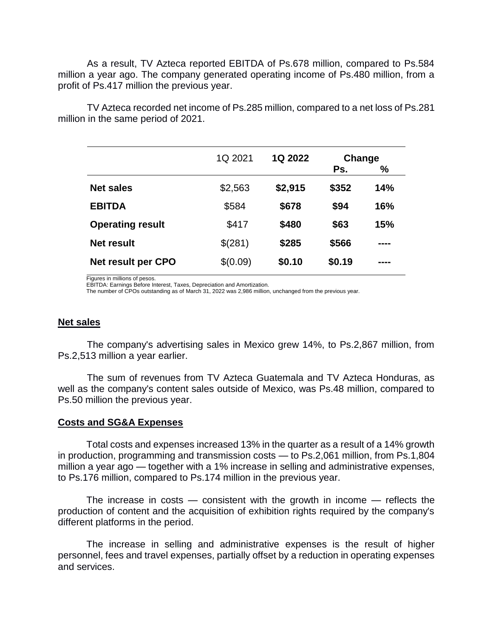As a result, TV Azteca reported EBITDA of Ps.678 million, compared to Ps.584 million a year ago. The company generated operating income of Ps.480 million, from a profit of Ps.417 million the previous year.

TV Azteca recorded net income of Ps.285 million, compared to a net loss of Ps.281 million in the same period of 2021.

|                           | 1Q 2021  | 1Q 2022 | Change |            |  |
|---------------------------|----------|---------|--------|------------|--|
|                           |          |         | Ps.    | %          |  |
| <b>Net sales</b>          | \$2,563  | \$2,915 | \$352  | 14%        |  |
| <b>EBITDA</b>             | \$584    | \$678   | \$94   | <b>16%</b> |  |
| <b>Operating result</b>   | \$417    | \$480   | \$63   | <b>15%</b> |  |
| Net result                | \$(281)  | \$285   | \$566  | ----       |  |
| <b>Net result per CPO</b> | \$(0.09) | \$0.10  | \$0.19 |            |  |

Figures in millions of pesos.

EBITDA: Earnings Before Interest, Taxes, Depreciation and Amortization.

The number of CPOs outstanding as of March 31, 2022 was 2,986 million, unchanged from the previous year.

### **Net sales**

The company's advertising sales in Mexico grew 14%, to Ps.2,867 million, from Ps.2,513 million a year earlier.

The sum of revenues from TV Azteca Guatemala and TV Azteca Honduras, as well as the company's content sales outside of Mexico, was Ps.48 million, compared to Ps.50 million the previous year.

### **Costs and SG&A Expenses**

Total costs and expenses increased 13% in the quarter as a result of a 14% growth in production, programming and transmission costs — to Ps.2,061 million, from Ps.1,804 million a year ago — together with a 1% increase in selling and administrative expenses, to Ps.176 million, compared to Ps.174 million in the previous year.

The increase in costs  $-$  consistent with the growth in income  $-$  reflects the production of content and the acquisition of exhibition rights required by the company's different platforms in the period.

The increase in selling and administrative expenses is the result of higher personnel, fees and travel expenses, partially offset by a reduction in operating expenses and services.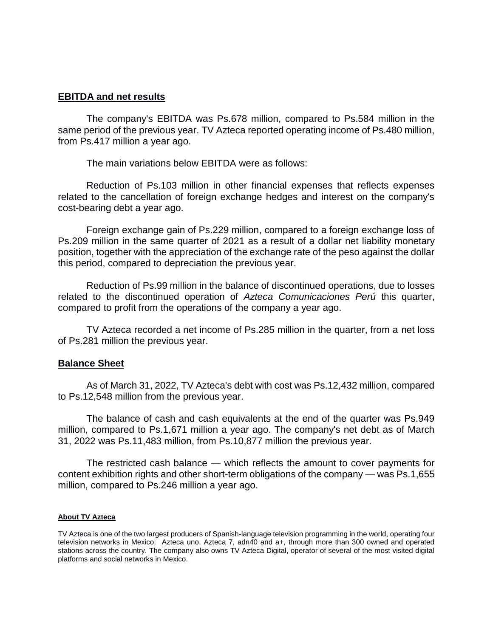## **EBITDA and net results**

The company's EBITDA was Ps.678 million, compared to Ps.584 million in the same period of the previous year. TV Azteca reported operating income of Ps.480 million, from Ps.417 million a year ago.

The main variations below EBITDA were as follows:

Reduction of Ps.103 million in other financial expenses that reflects expenses related to the cancellation of foreign exchange hedges and interest on the company's cost-bearing debt a year ago.

Foreign exchange gain of Ps.229 million, compared to a foreign exchange loss of Ps.209 million in the same quarter of 2021 as a result of a dollar net liability monetary position, together with the appreciation of the exchange rate of the peso against the dollar this period, compared to depreciation the previous year.

Reduction of Ps.99 million in the balance of discontinued operations, due to losses related to the discontinued operation of *Azteca Comunicaciones Perú* this quarter, compared to profit from the operations of the company a year ago.

TV Azteca recorded a net income of Ps.285 million in the quarter, from a net loss of Ps.281 million the previous year.

### **Balance Sheet**

As of March 31, 2022, TV Azteca's debt with cost was Ps.12,432 million, compared to Ps.12,548 million from the previous year.

The balance of cash and cash equivalents at the end of the quarter was Ps.949 million, compared to Ps.1,671 million a year ago. The company's net debt as of March 31, 2022 was Ps.11,483 million, from Ps.10,877 million the previous year.

The restricted cash balance — which reflects the amount to cover payments for content exhibition rights and other short-term obligations of the company — was Ps.1,655 million, compared to Ps.246 million a year ago.

#### **About TV Azteca**

TV Azteca is one of the two largest producers of Spanish-language television programming in the world, operating four television networks in Mexico: Azteca uno, Azteca 7, adn40 and a+, through more than 300 owned and operated stations across the country. The company also owns TV Azteca Digital, operator of several of the most visited digital platforms and social networks in Mexico.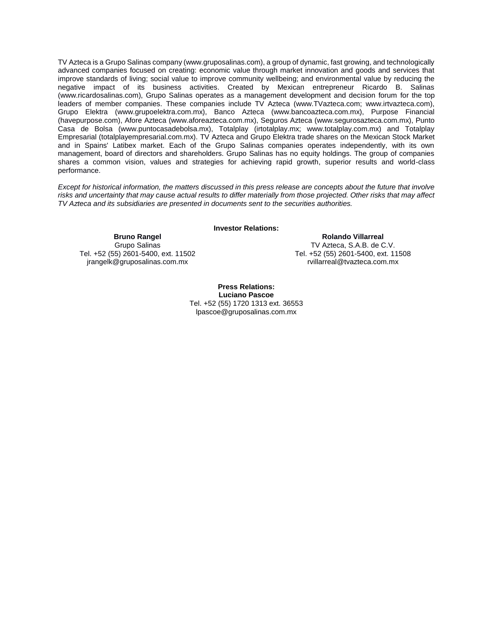TV Azteca is a Grupo Salinas company (www.gruposalinas.com), a group of dynamic, fast growing, and technologically advanced companies focused on creating: economic value through market innovation and goods and services that improve standards of living; social value to improve community wellbeing; and environmental value by reducing the negative impact of its business activities. Created by Mexican entrepreneur Ricardo B. Salinas (www.ricardosalinas.com), Grupo Salinas operates as a management development and decision forum for the top leaders of member companies. These companies include TV Azteca (www.TVazteca.com; www.irtvazteca.com), Grupo Elektra (www.grupoelektra.com.mx), Banco Azteca (www.bancoazteca.com.mx), Purpose Financial (havepurpose.com), Afore Azteca (www.aforeazteca.com.mx), Seguros Azteca (www.segurosazteca.com.mx), Punto Casa de Bolsa (www.puntocasadebolsa.mx), Totalplay (irtotalplay.mx; www.totalplay.com.mx) and Totalplay Empresarial (totalplayempresarial.com.mx). TV Azteca and Grupo Elektra trade shares on the Mexican Stock Market and in Spains' Latibex market. Each of the Grupo Salinas companies operates independently, with its own management, board of directors and shareholders. Grupo Salinas has no equity holdings. The group of companies shares a common vision, values and strategies for achieving rapid growth, superior results and world-class performance.

*Except for historical information, the matters discussed in this press release are concepts about the future that involve risks and uncertainty that may cause actual results to differ materially from those projected. Other risks that may affect TV Azteca and its subsidiaries are presented in documents sent to the securities authorities.*

**Investor Relations:**

**Bruno Rangel** Grupo Salinas Tel. +52 (55) 2601-5400, ext. 11502 jrangelk@gruposalinas.com.mx

**Rolando Villarreal** TV Azteca, S.A.B. de C.V. Tel. +52 (55) 2601-5400, ext. 11508 [rvillarreal@tvazteca.com.mx](mailto:rvillarreal@tvazteca.com.mx)

**Press Relations: Luciano Pascoe** Tel. +52 (55) 1720 1313 ext. 36553 [lpascoe@gruposalinas.com.mx](mailto:lpascoe@gruposalinas.com.mx)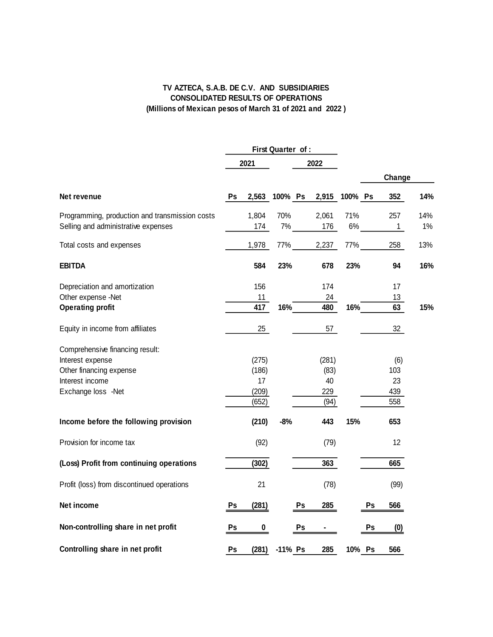### **TV AZTECA, S.A.B. DE C.V. AND SUBSIDIARIES CONSOLIDATED RESULTS OF OPERATIONS (Millions of Mexican pesos of March 31 of 2021 and 2022 )**

|                                                                                                                         | First Quarter of : |                                        |               |       |                                    |           |    |                                |           |
|-------------------------------------------------------------------------------------------------------------------------|--------------------|----------------------------------------|---------------|-------|------------------------------------|-----------|----|--------------------------------|-----------|
|                                                                                                                         | 2021               |                                        |               | 2022  |                                    |           |    |                                |           |
|                                                                                                                         |                    |                                        |               |       |                                    |           |    | Change                         |           |
| Net revenue                                                                                                             | Ps                 |                                        | 2,563 100% Ps |       | 2,915 100% Ps                      |           |    | 352                            | 14%       |
| Programming, production and transmission costs<br>Selling and administrative expenses                                   |                    | 1,804<br>174                           | 70%           | $7\%$ | 2,061<br>176                       | 71%<br>6% |    | 257<br>$\mathbf{1}$            | 14%<br>1% |
| Total costs and expenses                                                                                                |                    | 1,978                                  | 77%           |       | 2,237                              | 77%       |    | 258                            | 13%       |
| <b>EBITDA</b>                                                                                                           |                    | 584                                    | 23%           |       | 678                                | 23%       |    | 94                             | 16%       |
| Depreciation and amortization<br>Other expense -Net<br><b>Operating profit</b>                                          |                    | 156<br>11<br>417                       | 16%           |       | 174<br>24<br>480                   | 16%       |    | 17<br>13<br>63                 | 15%       |
| Equity in income from affiliates                                                                                        |                    | 25                                     |               |       | 57                                 |           |    | 32                             |           |
| Comprehensive financing result:<br>Interest expense<br>Other financing expense<br>Interest income<br>Exchange loss -Net |                    | (275)<br>(186)<br>17<br>(209)<br>(652) |               |       | (281)<br>(83)<br>40<br>229<br>(94) |           |    | (6)<br>103<br>23<br>439<br>558 |           |
| Income before the following provision                                                                                   |                    | (210)                                  | $-8%$         |       | 443                                | 15%       |    | 653                            |           |
| Provision for income tax                                                                                                |                    | (92)                                   |               |       | (79)                               |           |    | 12                             |           |
| (Loss) Profit from continuing operations                                                                                |                    | (302)                                  |               |       | 363                                |           |    | 665                            |           |
| Profit (loss) from discontinued operations                                                                              |                    | 21                                     |               |       | (78)                               |           |    | (99)                           |           |
| Net income                                                                                                              | Ps                 | (281)                                  |               | Ps    | 285                                |           | Ps | 566                            |           |
| Non-controlling share in net profit                                                                                     | Ps                 | $\pmb{0}$                              |               | Ps    |                                    |           | Ps | (0)                            |           |
| Controlling share in net profit                                                                                         | Ps                 | (281)                                  | -11% Ps       |       | 285                                | 10% Ps    |    | 566                            |           |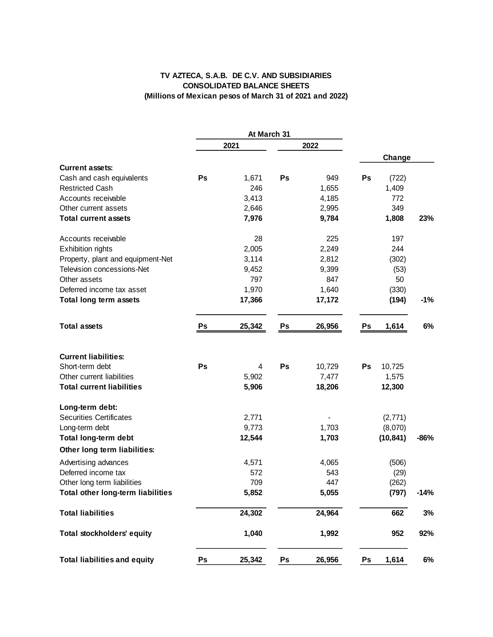### **TV AZTECA, S.A.B. DE C.V. AND SUBSIDIARIES CONSOLIDATED BALANCE SHEETS (Millions of Mexican pesos of March 31 of 2021 and 2022)**

|                                          |      | At March 31 |    |        |    |           |        |
|------------------------------------------|------|-------------|----|--------|----|-----------|--------|
|                                          | 2021 |             |    | 2022   |    |           |        |
| <b>Current assets:</b>                   |      |             |    |        |    | Change    |        |
| Cash and cash equivalents                | Ps   | 1,671       | Ps | 949    | Ps | (722)     |        |
| <b>Restricted Cash</b>                   |      | 246         |    | 1,655  |    | 1,409     |        |
| Accounts receivable                      |      | 3,413       |    | 4,185  |    | 772       |        |
| Other current assets                     |      | 2,646       |    | 2,995  |    | 349       |        |
| <b>Total current assets</b>              |      | 7,976       |    | 9,784  |    | 1,808     | 23%    |
| Accounts receivable                      |      | 28          |    | 225    |    | 197       |        |
| <b>Exhibition rights</b>                 |      | 2,005       |    | 2,249  |    | 244       |        |
| Property, plant and equipment-Net        |      | 3,114       |    | 2,812  |    | (302)     |        |
| Television concessions-Net               |      | 9,452       |    | 9,399  |    | (53)      |        |
| Other assets                             |      | 797         |    | 847    |    | 50        |        |
| Deferred income tax asset                |      | 1,970       |    | 1,640  |    | (330)     |        |
| Total long term assets                   |      | 17,366      |    | 17,172 |    | (194)     | $-1%$  |
| <b>Total assets</b>                      | Ps   | 25,342      | Ps | 26,956 | Ps | 1,614     | 6%     |
| <b>Current liabilities:</b>              |      |             |    |        |    |           |        |
| Short-term debt                          | Ps   | 4           | Ps | 10,729 | Ps | 10,725    |        |
| Other current liabilities                |      | 5,902       |    | 7,477  |    | 1,575     |        |
| <b>Total current liabilities</b>         |      | 5,906       |    | 18,206 |    | 12,300    |        |
| Long-term debt:                          |      |             |    |        |    |           |        |
| <b>Securities Certificates</b>           |      | 2,771       |    |        |    | (2,771)   |        |
| Long-term debt                           |      | 9,773       |    | 1,703  |    | (8,070)   |        |
| Total long-term debt                     |      | 12,544      |    | 1,703  |    | (10, 841) | -86%   |
| Other long term liabilities:             |      |             |    |        |    |           |        |
| Advertising advances                     |      | 4,571       |    | 4,065  |    | (506)     |        |
| Deferred income tax                      |      | 572         |    | 543    |    | (29)      |        |
| Other long term liabilities              |      | 709         |    | 447    |    | (262)     |        |
| <b>Total other long-term liabilities</b> |      | 5,852       |    | 5,055  |    | (797)     | $-14%$ |
| <b>Total liabilities</b>                 |      | 24,302      |    | 24,964 |    | 662       | 3%     |
| <b>Total stockholders' equity</b>        |      | 1,040       |    | 1,992  |    | 952       | 92%    |
| <b>Total liabilities and equity</b>      | Ps   | 25,342      | Ps | 26,956 | Ps | 1,614     | 6%     |